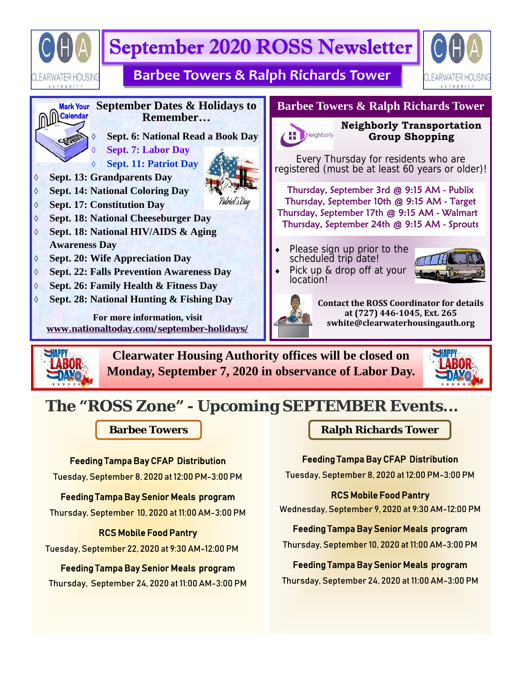



**Clearwater Housing Authority offices will be closed on Monday, September 7, 2020 in observance of Labor Day.** 



# **The "ROSS Zone" - Upcoming SEPTEMBER Events...**

### Feeding Tampa Bay CFAP Distribution

Tuesday, September 8, 2020 at 12:00 PM-3:00 PM

### Feeding Tampa Bay Senior Meals program

Thursday, September 10, 2020 at 11:00 AM-3:00 PM

#### RCS Mobile Food Pantry

Tuesday, September 22, 2020 at 9:30 AM-12:00 PM

#### Feeding Tampa Bay Senior Meals program

Thursday, September 24, 2020 at 11:00 AM-3:00 PM

### **Barbee Towers Ralph Richards Tower**

#### Feeding Tampa Bay CFAP Distribution

Tuesday, September 8, 2020 at 12:00 PM-3:00 PM

#### RCS Mobile Food Pantry

Wednesday, September 9, 2020 at 9:30 AM-12:00 PM

#### Feeding Tampa Bay Senior Meals program

Thursday, September 10, 2020 at 11:00 AM-3:00 PM

#### Feeding Tampa Bay Senior Meals program

Thursday, September 24, 2020 at 11:00 AM-3:00 PM